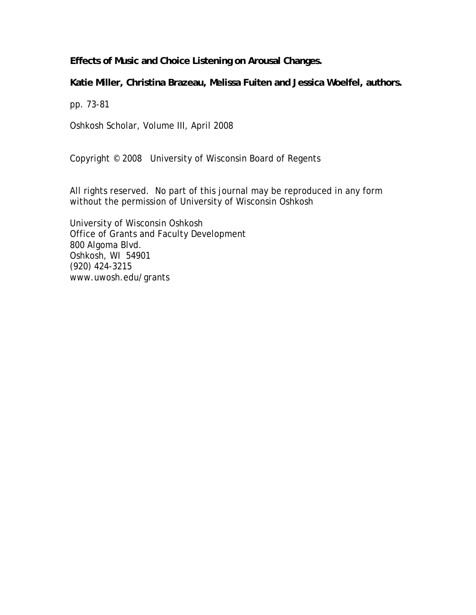**Effects of Music and Choice Listening on Arousal Changes.** 

**Katie Miller, Christina Brazeau, Melissa Fuiten and Jessica Woelfel, authors.** 

pp. 73-81

Oshkosh Scholar, Volume III, April 2008

Copyright © 2008 University of Wisconsin Board of Regents

All rights reserved. No part of this journal may be reproduced in any form without the permission of University of Wisconsin Oshkosh

University of Wisconsin Oshkosh Office of Grants and Faculty Development 800 Algoma Blvd. Oshkosh, WI 54901 (920) 424-3215 www.uwosh.edu/grants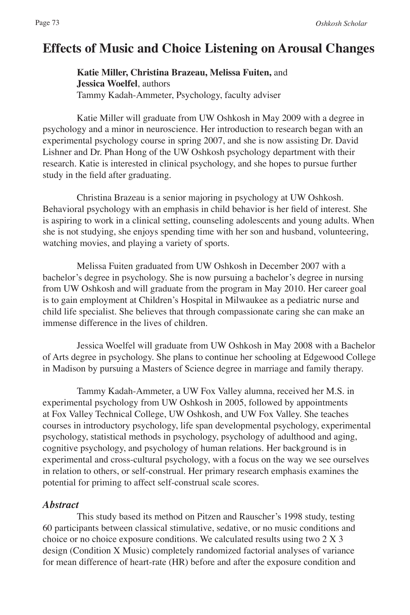# **Effects of Music and Choice Listening on Arousal Changes**

**Katie Miller, Christina Brazeau, Melissa Fuiten,** and **Jessica Woelfel**, authors Tammy Kadah-Ammeter, Psychology, faculty adviser

Katie Miller will graduate from UW Oshkosh in May 2009 with a degree in psychology and a minor in neuroscience. Her introduction to research began with an experimental psychology course in spring 2007, and she is now assisting Dr. David Lishner and Dr. Phan Hong of the UW Oshkosh psychology department with their research. Katie is interested in clinical psychology, and she hopes to pursue further study in the field after graduating.

Christina Brazeau is a senior majoring in psychology at UW Oshkosh. Behavioral psychology with an emphasis in child behavior is her field of interest. She is aspiring to work in a clinical setting, counseling adolescents and young adults. When she is not studying, she enjoys spending time with her son and husband, volunteering, watching movies, and playing a variety of sports.

Melissa Fuiten graduated from UW Oshkosh in December 2007 with a bachelor's degree in psychology. She is now pursuing a bachelor's degree in nursing from UW Oshkosh and will graduate from the program in May 2010. Her career goal is to gain employment at Children's Hospital in Milwaukee as a pediatric nurse and child life specialist. She believes that through compassionate caring she can make an immense difference in the lives of children.

Jessica Woelfel will graduate from UW Oshkosh in May 2008 with a Bachelor of Arts degree in psychology. She plans to continue her schooling at Edgewood College in Madison by pursuing a Masters of Science degree in marriage and family therapy.

Tammy Kadah-Ammeter, a UW Fox Valley alumna, received her M.S. in experimental psychology from UW Oshkosh in 2005, followed by appointments at Fox Valley Technical College, UW Oshkosh, and UW Fox Valley. She teaches courses in introductory psychology, life span developmental psychology, experimental psychology, statistical methods in psychology, psychology of adulthood and aging, cognitive psychology, and psychology of human relations. Her background is in experimental and cross-cultural psychology, with a focus on the way we see ourselves in relation to others, or self-construal. Her primary research emphasis examines the potential for priming to affect self-construal scale scores.

#### *Abstract*

This study based its method on Pitzen and Rauscher's 1998 study, testing 60 participants between classical stimulative, sedative, or no music conditions and choice or no choice exposure conditions. We calculated results using two 2 X 3 design (Condition X Music) completely randomized factorial analyses of variance for mean difference of heart-rate (HR) before and after the exposure condition and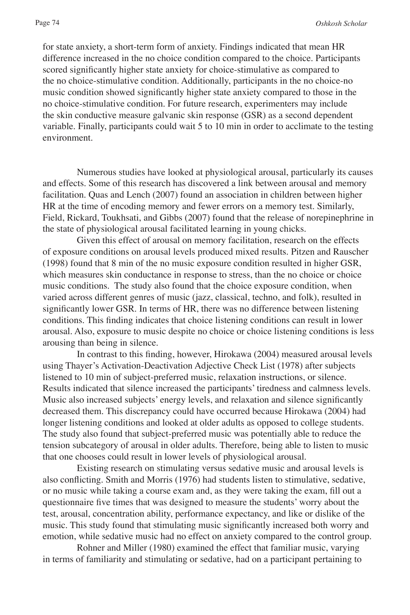for state anxiety, a short-term form of anxiety. Findings indicated that mean HR difference increased in the no choice condition compared to the choice. Participants scored significantly higher state anxiety for choice-stimulative as compared to the no choice-stimulative condition. Additionally, participants in the no choice-no music condition showed significantly higher state anxiety compared to those in the no choice-stimulative condition. For future research, experimenters may include the skin conductive measure galvanic skin response (GSR) as a second dependent variable. Finally, participants could wait 5 to 10 min in order to acclimate to the testing environment.

Numerous studies have looked at physiological arousal, particularly its causes and effects. Some of this research has discovered a link between arousal and memory facilitation. Quas and Lench (2007) found an association in children between higher HR at the time of encoding memory and fewer errors on a memory test. Similarly, Field, Rickard, Toukhsati, and Gibbs (2007) found that the release of norepinephrine in the state of physiological arousal facilitated learning in young chicks.

Given this effect of arousal on memory facilitation, research on the effects of exposure conditions on arousal levels produced mixed results. Pitzen and Rauscher (1998) found that 8 min of the no music exposure condition resulted in higher GSR, which measures skin conductance in response to stress, than the no choice or choice music conditions. The study also found that the choice exposure condition, when varied across different genres of music (jazz, classical, techno, and folk), resulted in significantly lower GSR. In terms of HR, there was no difference between listening conditions. This finding indicates that choice listening conditions can result in lower arousal. Also, exposure to music despite no choice or choice listening conditions is less arousing than being in silence.

In contrast to this finding, however, Hirokawa (2004) measured arousal levels using Thayer's Activation-Deactivation Adjective Check List (1978) after subjects listened to 10 min of subject-preferred music, relaxation instructions, or silence. Results indicated that silence increased the participants' tiredness and calmness levels. Music also increased subjects' energy levels, and relaxation and silence significantly decreased them. This discrepancy could have occurred because Hirokawa (2004) had longer listening conditions and looked at older adults as opposed to college students. The study also found that subject-preferred music was potentially able to reduce the tension subcategory of arousal in older adults. Therefore, being able to listen to music that one chooses could result in lower levels of physiological arousal.

Existing research on stimulating versus sedative music and arousal levels is also conflicting. Smith and Morris (1976) had students listen to stimulative, sedative, or no music while taking a course exam and, as they were taking the exam, fill out a questionnaire five times that was designed to measure the students' worry about the test, arousal, concentration ability, performance expectancy, and like or dislike of the music. This study found that stimulating music significantly increased both worry and emotion, while sedative music had no effect on anxiety compared to the control group.

Rohner and Miller (1980) examined the effect that familiar music, varying in terms of familiarity and stimulating or sedative, had on a participant pertaining to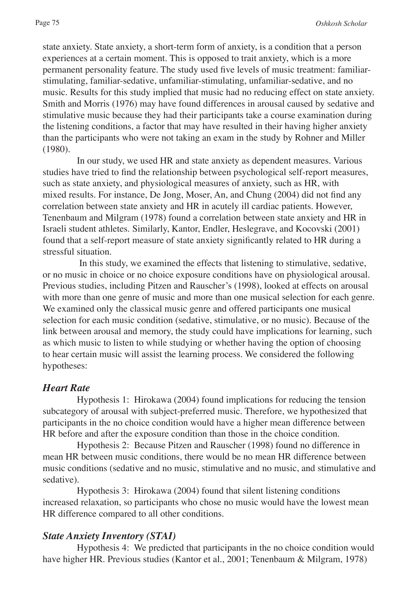state anxiety. State anxiety, a short-term form of anxiety, is a condition that a person experiences at a certain moment. This is opposed to trait anxiety, which is a more permanent personality feature. The study used five levels of music treatment: familiarstimulating, familiar-sedative, unfamiliar-stimulating, unfamiliar-sedative, and no music. Results for this study implied that music had no reducing effect on state anxiety. Smith and Morris (1976) may have found differences in arousal caused by sedative and stimulative music because they had their participants take a course examination during the listening conditions, a factor that may have resulted in their having higher anxiety than the participants who were not taking an exam in the study by Rohner and Miller (1980).

In our study, we used HR and state anxiety as dependent measures. Various studies have tried to find the relationship between psychological self-report measures, such as state anxiety, and physiological measures of anxiety, such as HR, with mixed results. For instance, De Jong, Moser, An, and Chung (2004) did not find any correlation between state anxiety and HR in acutely ill cardiac patients. However, Tenenbaum and Milgram (1978) found a correlation between state anxiety and HR in Israeli student athletes. Similarly, Kantor, Endler, Heslegrave, and Kocovski (2001) found that a self-report measure of state anxiety significantly related to HR during a stressful situation.

 In this study, we examined the effects that listening to stimulative, sedative, or no music in choice or no choice exposure conditions have on physiological arousal. Previous studies, including Pitzen and Rauscher's (1998), looked at effects on arousal with more than one genre of music and more than one musical selection for each genre. We examined only the classical music genre and offered participants one musical selection for each music condition (sedative, stimulative, or no music). Because of the link between arousal and memory, the study could have implications for learning, such as which music to listen to while studying or whether having the option of choosing to hear certain music will assist the learning process. We considered the following hypotheses:

#### *Heart Rate*

Hypothesis 1: Hirokawa (2004) found implications for reducing the tension subcategory of arousal with subject-preferred music. Therefore, we hypothesized that participants in the no choice condition would have a higher mean difference between HR before and after the exposure condition than those in the choice condition.

Hypothesis 2: Because Pitzen and Rauscher (1998) found no difference in mean HR between music conditions, there would be no mean HR difference between music conditions (sedative and no music, stimulative and no music, and stimulative and sedative).

Hypothesis 3: Hirokawa (2004) found that silent listening conditions increased relaxation, so participants who chose no music would have the lowest mean HR difference compared to all other conditions.

#### *State Anxiety Inventory (STAI)*

Hypothesis 4: We predicted that participants in the no choice condition would have higher HR. Previous studies (Kantor et al., 2001; Tenenbaum & Milgram, 1978)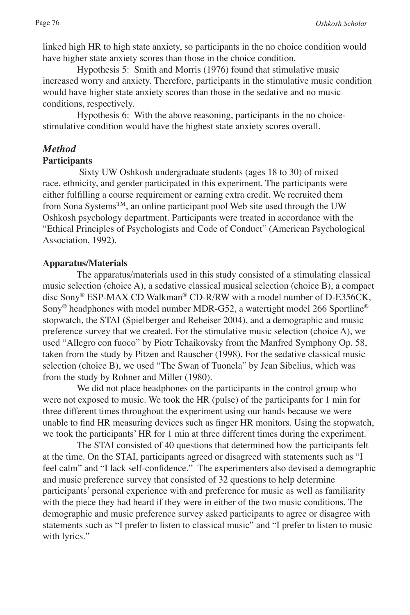linked high HR to high state anxiety, so participants in the no choice condition would have higher state anxiety scores than those in the choice condition.

Hypothesis 5: Smith and Morris (1976) found that stimulative music increased worry and anxiety. Therefore, participants in the stimulative music condition would have higher state anxiety scores than those in the sedative and no music conditions, respectively.

Hypothesis 6: With the above reasoning, participants in the no choicestimulative condition would have the highest state anxiety scores overall.

# *Method*

#### **Participants**

 Sixty UW Oshkosh undergraduate students (ages 18 to 30) of mixed race, ethnicity, and gender participated in this experiment. The participants were either fulfilling a course requirement or earning extra credit. We recruited them from Sona Systems<sup>TM</sup>, an online participant pool Web site used through the UW Oshkosh psychology department. Participants were treated in accordance with the "Ethical Principles of Psychologists and Code of Conduct" (American Psychological Association, 1992).

#### **Apparatus/Materials**

The apparatus/materials used in this study consisted of a stimulating classical music selection (choice A), a sedative classical musical selection (choice B), a compact disc Sony® ESP-MAX CD Walkman® CD-R/RW with a model number of D-E356CK, Sony<sup>®</sup> headphones with model number MDR-G52, a watertight model 266 Sportline<sup>®</sup> stopwatch, the STAI (Spielberger and Reheiser 2004), and a demographic and music preference survey that we created. For the stimulative music selection (choice A), we used "Allegro con fuoco" by Piotr Tchaikovsky from the Manfred Symphony Op. 58, taken from the study by Pitzen and Rauscher (1998). For the sedative classical music selection (choice B), we used "The Swan of Tuonela" by Jean Sibelius, which was from the study by Rohner and Miller (1980).

We did not place headphones on the participants in the control group who were not exposed to music. We took the HR (pulse) of the participants for 1 min for three different times throughout the experiment using our hands because we were unable to find HR measuring devices such as finger HR monitors. Using the stopwatch, we took the participants' HR for 1 min at three different times during the experiment.

The STAI consisted of 40 questions that determined how the participants felt at the time. On the STAI, participants agreed or disagreed with statements such as "I feel calm" and "I lack self-confidence." The experimenters also devised a demographic and music preference survey that consisted of 32 questions to help determine participants' personal experience with and preference for music as well as familiarity with the piece they had heard if they were in either of the two music conditions. The demographic and music preference survey asked participants to agree or disagree with statements such as "I prefer to listen to classical music" and "I prefer to listen to music with lyrics."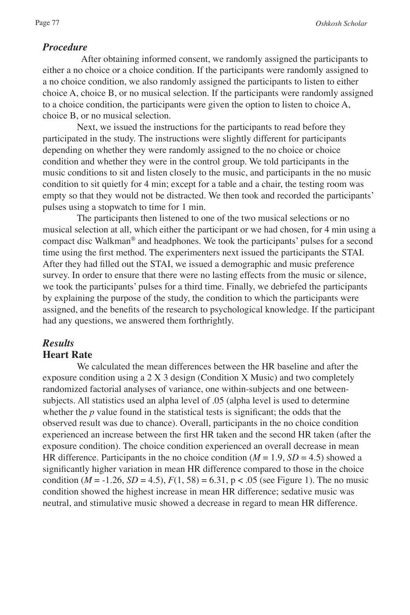#### *Procedure*

 After obtaining informed consent, we randomly assigned the participants to either a no choice or a choice condition. If the participants were randomly assigned to a no choice condition, we also randomly assigned the participants to listen to either choice A, choice B, or no musical selection. If the participants were randomly assigned to a choice condition, the participants were given the option to listen to choice A, choice B, or no musical selection.

Next, we issued the instructions for the participants to read before they participated in the study. The instructions were slightly different for participants depending on whether they were randomly assigned to the no choice or choice condition and whether they were in the control group. We told participants in the music conditions to sit and listen closely to the music, and participants in the no music condition to sit quietly for 4 min; except for a table and a chair, the testing room was empty so that they would not be distracted. We then took and recorded the participants' pulses using a stopwatch to time for 1 min.

The participants then listened to one of the two musical selections or no musical selection at all, which either the participant or we had chosen, for 4 min using a compact disc Walkman® and headphones. We took the participants' pulses for a second time using the first method. The experimenters next issued the participants the STAI. After they had filled out the STAI, we issued a demographic and music preference survey. In order to ensure that there were no lasting effects from the music or silence, we took the participants' pulses for a third time. Finally, we debriefed the participants by explaining the purpose of the study, the condition to which the participants were assigned, and the benefits of the research to psychological knowledge. If the participant had any questions, we answered them forthrightly.

#### *Results* **Heart Rate**

We calculated the mean differences between the HR baseline and after the exposure condition using a 2 X 3 design (Condition X Music) and two completely randomized factorial analyses of variance, one within-subjects and one betweensubjects. All statistics used an alpha level of .05 (alpha level is used to determine whether the *p* value found in the statistical tests is significant; the odds that the observed result was due to chance). Overall, participants in the no choice condition experienced an increase between the first HR taken and the second HR taken (after the exposure condition). The choice condition experienced an overall decrease in mean HR difference. Participants in the no choice condition  $(M = 1.9, SD = 4.5)$  showed a significantly higher variation in mean HR difference compared to those in the choice condition ( $M = -1.26$ ,  $SD = 4.5$ ),  $F(1, 58) = 6.31$ ,  $p < .05$  (see Figure 1). The no music condition showed the highest increase in mean HR difference; sedative music was neutral, and stimulative music showed a decrease in regard to mean HR difference.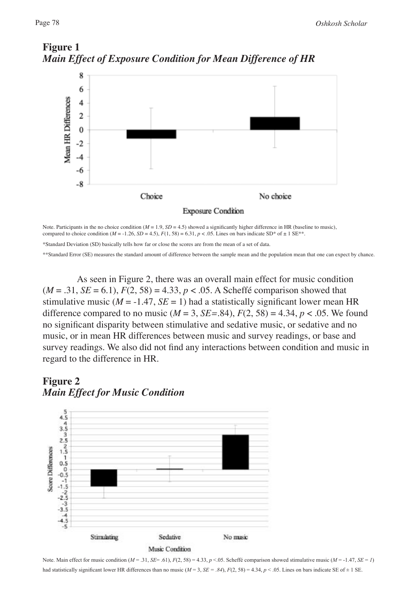

### **Figure 1** *Main Effect of Exposure Condition for Mean Difference of HR*

Note. Participants in the no choice condition ( $M = 1.9$ ,  $SD = 4.5$ ) showed a significantly higher difference in HR (baseline to music), compared to choice condition  $(M = -1.26, SD = 4.5)$ ,  $F(1, 58) = 6.31$ ,  $p < .05$ . Lines on bars indicate SD\* of  $\pm 1$  SE\*\*.

\*Standard Deviation (SD) basically tells how far or close the scores are from the mean of a set of data.

\*\*Standard Error (SE) measures the standard amount of difference between the sample mean and the population mean that one can expect by chance.

As seen in Figure 2, there was an overall main effect for music condition  $(M = .31, SE = 6.1), F(2, 58) = 4.33, p < .05$ . A Scheffé comparison showed that stimulative music ( $M = -1.47$ ,  $SE = 1$ ) had a statistically significant lower mean HR difference compared to no music  $(M = 3, SE = .84), F(2, 58) = 4.34, p < .05$ . We found no significant disparity between stimulative and sedative music, or sedative and no music, or in mean HR differences between music and survey readings, or base and survey readings. We also did not find any interactions between condition and music in regard to the difference in HR.

## **Figure 2** *Main Effect for Music Condition*



Note. Main effect for music condition  $(M = .31, SE = .61)$ ,  $F(2, 58) = 4.33$ ,  $p < .05$ . Scheffé comparison showed stimulative music  $(M = .1.47, SE = I)$ had statistically significant lower HR differences than no music ( $M = 3$ ,  $SE = .84$ ),  $F(2, 58) = 4.34$ ,  $p < .05$ . Lines on bars indicate SE of  $\pm 1$  SE.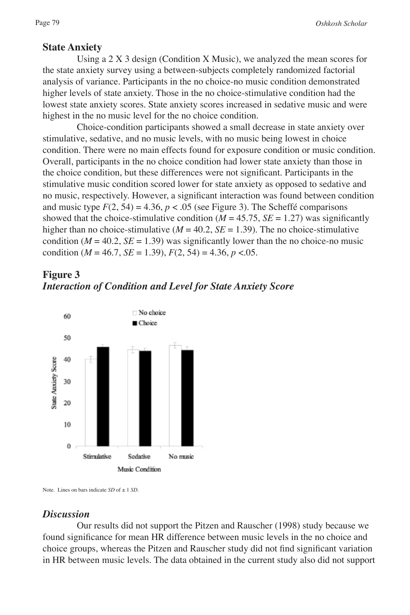#### **State Anxiety**

Using a 2 X 3 design (Condition X Music), we analyzed the mean scores for the state anxiety survey using a between-subjects completely randomized factorial analysis of variance. Participants in the no choice-no music condition demonstrated higher levels of state anxiety. Those in the no choice-stimulative condition had the lowest state anxiety scores. State anxiety scores increased in sedative music and were highest in the no music level for the no choice condition.

Choice-condition participants showed a small decrease in state anxiety over stimulative, sedative, and no music levels, with no music being lowest in choice condition. There were no main effects found for exposure condition or music condition. Overall, participants in the no choice condition had lower state anxiety than those in the choice condition, but these differences were not significant. Participants in the stimulative music condition scored lower for state anxiety as opposed to sedative and no music, respectively. However, a significant interaction was found between condition and music type  $F(2, 54) = 4.36$ ,  $p < .05$  (see Figure 3). The Scheffé comparisons showed that the choice-stimulative condition  $(M = 45.75, SE = 1.27)$  was significantly higher than no choice-stimulative ( $M = 40.2$ ,  $SE = 1.39$ ). The no choice-stimulative condition ( $M = 40.2$ ,  $SE = 1.39$ ) was significantly lower than the no choice-no music condition ( $M = 46.7$ ,  $SE = 1.39$ ),  $F(2, 54) = 4.36$ ,  $p < 0.05$ .

# **Figure 3** *Interaction of Condition and Level for State Anxiety Score*



Note. Lines on bars indicate *SD* of  $\pm$  1 *SD*.

#### *Discussion*

Our results did not support the Pitzen and Rauscher (1998) study because we found significance for mean HR difference between music levels in the no choice and choice groups, whereas the Pitzen and Rauscher study did not find significant variation in HR between music levels. The data obtained in the current study also did not support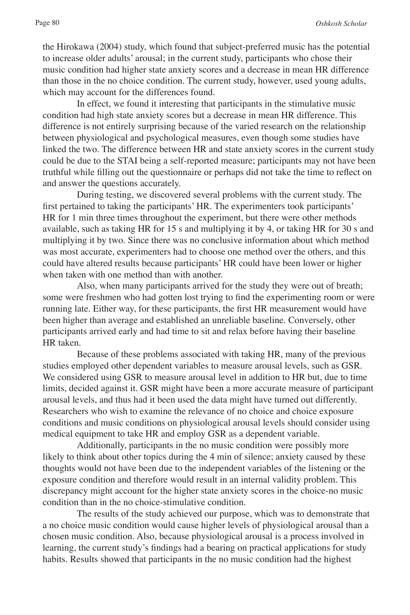the Hirokawa (2004) study, which found that subject-preferred music has the potential to increase older adults' arousal; in the current study, participants who chose their music condition had higher state anxiety scores and a decrease in mean HR difference than those in the no choice condition. The current study, however, used young adults, which may account for the differences found.

In effect, we found it interesting that participants in the stimulative music condition had high state anxiety scores but a decrease in mean HR difference. This difference is not entirely surprising because of the varied research on the relationship between physiological and psychological measures, even though some studies have linked the two. The difference between HR and state anxiety scores in the current study could be due to the STAI being a self-reported measure; participants may not have been truthful while filling out the questionnaire or perhaps did not take the time to reflect on and answer the questions accurately.

During testing, we discovered several problems with the current study. The first pertained to taking the participants' HR. The experimenters took participants' HR for 1 min three times throughout the experiment, but there were other methods available, such as taking HR for 15 s and multiplying it by 4, or taking HR for 30 s and multiplying it by two. Since there was no conclusive information about which method was most accurate, experimenters had to choose one method over the others, and this could have altered results because participants' HR could have been lower or higher when taken with one method than with another.

Also, when many participants arrived for the study they were out of breath; some were freshmen who had gotten lost trying to find the experimenting room or were running late. Either way, for these participants, the first HR measurement would have been higher than average and established an unreliable baseline. Conversely, other participants arrived early and had time to sit and relax before having their baseline HR taken.

Because of these problems associated with taking HR, many of the previous studies employed other dependent variables to measure arousal levels, such as GSR. We considered using GSR to measure arousal level in addition to HR but, due to time limits, decided against it. GSR might have been a more accurate measure of participant arousal levels, and thus had it been used the data might have turned out differently. Researchers who wish to examine the relevance of no choice and choice exposure conditions and music conditions on physiological arousal levels should consider using medical equipment to take HR and employ GSR as a dependent variable.

Additionally, participants in the no music condition were possibly more likely to think about other topics during the 4 min of silence; anxiety caused by these thoughts would not have been due to the independent variables of the listening or the exposure condition and therefore would result in an internal validity problem. This discrepancy might account for the higher state anxiety scores in the choice-no music condition than in the no choice-stimulative condition.

The results of the study achieved our purpose, which was to demonstrate that a no choice music condition would cause higher levels of physiological arousal than a chosen music condition. Also, because physiological arousal is a process involved in learning, the current study's findings had a bearing on practical applications for study habits. Results showed that participants in the no music condition had the highest